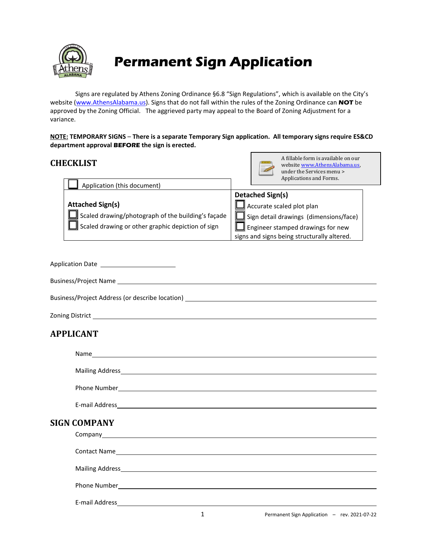

# **Permanent Sign Application**

Signs are regulated by Athens Zoning Ordinance §6.8 "Sign Regulations", which is available on the City's website [\(www.AthensAlabama.us\)](http://www.athensalabama.us/). Signs that do not fall within the rules of the Zoning Ordinance can **NOT** be approved by the Zoning Official. The aggrieved party may appeal to the Board of Zoning Adjustment for a variance.

**NOTE: TEMPORARY SIGNS** – **There is a separate Temporary Sign application. All temporary signs require ES&CD department approval BEFORE the sign is erected.**

# **CHECKLIST**



A fillable form is available on our website [www.AthensAlabama.us,](http://www.athensalabama.us/)  under the Services menu > Applications and Forms.

| Application (this document)                               |                                               |
|-----------------------------------------------------------|-----------------------------------------------|
|                                                           | <b>Detached Sign(s)</b>                       |
| <b>Attached Sign(s)</b>                                   | $\Box$ Accurate scaled plot plan              |
| $\Box$ Scaled drawing/photograph of the building's façade | $\Box$ Sign detail drawings (dimensions/face) |
| Scaled drawing or other graphic depiction of sign         | $\Box$ Engineer stamped drawings for new      |
|                                                           | signs and signs being structurally altered.   |

| Application Date _________________________      |
|-------------------------------------------------|
|                                                 |
| Business/Project Address (or describe location) |
|                                                 |

# **APPLICANT**

| Phone Number <b>Manual Community</b> Phone Number <b>Manual Community</b> |   |                                              |
|---------------------------------------------------------------------------|---|----------------------------------------------|
|                                                                           |   |                                              |
| <b>SIGN COMPANY</b>                                                       |   |                                              |
|                                                                           |   |                                              |
|                                                                           |   |                                              |
|                                                                           |   | Phone Number Phone Number Phone Number 2014  |
|                                                                           |   |                                              |
|                                                                           | 1 | Permanent Sign Application - rev. 2021-07-22 |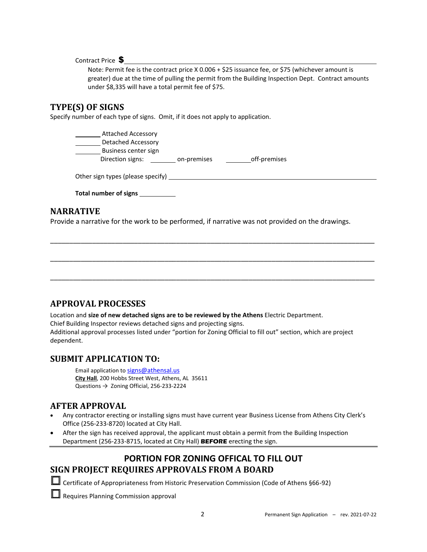Contract Price \$

Note: Permit fee is the contract price X 0.006 + \$25 issuance fee, or \$75 (whichever amount is greater) due at the time of pulling the permit from the Building Inspection Dept. Contract amounts under \$8,335 will have a total permit fee of \$75.

# **TYPE(S) OF SIGNS**

Specify number of each type of signs. Omit, if it does not apply to application.

Attached Accessory Detached Accessory Business center sign Direction signs: \_\_\_\_\_\_\_\_\_ on-premises \_\_\_\_\_\_\_\_\_\_ off-premises

| Other sign types (please specify) _ |  |
|-------------------------------------|--|
|                                     |  |

**Total number of signs** 

#### **NARRATIVE**

Provide a narrative for the work to be performed, if narrative was not provided on the drawings.

\_\_\_\_\_\_\_\_\_\_\_\_\_\_\_\_\_\_\_\_\_\_\_\_\_\_\_\_\_\_\_\_\_\_\_\_\_\_\_\_\_\_\_\_\_\_\_\_\_\_\_\_\_\_\_\_\_\_\_\_\_\_\_\_\_\_\_\_\_\_\_\_\_\_\_\_\_\_\_\_\_\_\_\_\_

\_\_\_\_\_\_\_\_\_\_\_\_\_\_\_\_\_\_\_\_\_\_\_\_\_\_\_\_\_\_\_\_\_\_\_\_\_\_\_\_\_\_\_\_\_\_\_\_\_\_\_\_\_\_\_\_\_\_\_\_\_\_\_\_\_\_\_\_\_\_\_\_\_\_\_\_\_\_\_\_\_\_\_\_\_

\_\_\_\_\_\_\_\_\_\_\_\_\_\_\_\_\_\_\_\_\_\_\_\_\_\_\_\_\_\_\_\_\_\_\_\_\_\_\_\_\_\_\_\_\_\_\_\_\_\_\_\_\_\_\_\_\_\_\_\_\_\_\_\_\_\_\_\_\_\_\_\_\_\_\_\_\_\_\_\_\_\_\_\_\_

|  | <b>APPROVAL PROCESSES</b> |
|--|---------------------------|
|--|---------------------------|

Location and **size of new detached signs are to be reviewed by the Athens** Electric Department. Chief Building Inspector reviews detached signs and projecting signs.

Additional approval processes listed under "portion for Zoning Official to fill out" section, which are project dependent.

#### **SUBMIT APPLICATION TO:**

Email application to [signs@athensal.us](mailto:signs@athensal.us) **City Hall**, 200 Hobbs Street West, Athens, AL 35611 Questions → Zoning Official, 256-233-2224

# **AFTER APPROVAL**

- Any contractor erecting or installing signs must have current year Business License from Athens City Clerk's Office (256-233-8720) located at City Hall.
- After the sign has received approval, the applicant must obtain a permit from the Building Inspection Department (256-233-8715, located at City Hall) **BEFORE** erecting the sign.

# **PORTION FOR ZONING OFFICAL TO FILL OUT SIGN PROJECT REQUIRES APPROVALS FROM A BOARD**

Certificate of Appropriateness from Historic Preservation Commission (Code of Athens §66-92)

Requires Planning Commission approval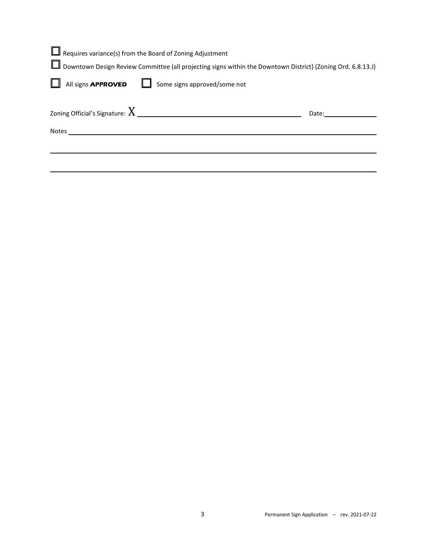| $\Box$ Requires variance(s) from the Board of Zoning Adjustment                                                                                                                                                                  |       |
|----------------------------------------------------------------------------------------------------------------------------------------------------------------------------------------------------------------------------------|-------|
| Downtown Design Review Committee (all projecting signs within the Downtown District) (Zoning Ord. 6.8.13.J)                                                                                                                      |       |
| All signs <b>APPROVED</b> Some signs approved/some not                                                                                                                                                                           |       |
| Zoning Official's Signature: $X_{\perp}$ and the set of the set of the set of the set of the set of the set of the set of the set of the set of the set of the set of the set of the set of the set of the set of the set of the | Date: |
| Notes and the contract of the contract of the contract of the contract of the contract of the contract of the contract of the contract of the contract of the contract of the contract of the contract of the contract of the    |       |
|                                                                                                                                                                                                                                  |       |
|                                                                                                                                                                                                                                  |       |